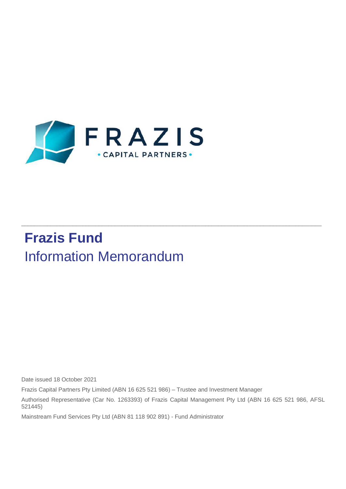

# **Frazis Fund** Information Memorandum

Date issued 18 October 2021

Frazis Capital Partners Pty Limited (ABN 16 625 521 986) – Trustee and Investment Manager

Authorised Representative (Car No. 1263393) of Frazis Capital Management Pty Ltd (ABN 16 625 521 986, AFSL 521445)

 $\_$  ,  $\_$  ,  $\_$  ,  $\_$  ,  $\_$  ,  $\_$  ,  $\_$  ,  $\_$  ,  $\_$  ,  $\_$  ,  $\_$  ,  $\_$  ,  $\_$  ,  $\_$  ,  $\_$  ,  $\_$  ,  $\_$  ,  $\_$  ,  $\_$  ,  $\_$  ,  $\_$  ,  $\_$  ,  $\_$  ,  $\_$  ,  $\_$  ,  $\_$  ,  $\_$  ,  $\_$  ,  $\_$  ,  $\_$  ,  $\_$  ,  $\_$  ,  $\_$  ,  $\_$  ,  $\_$  ,  $\_$  ,  $\_$  ,

Mainstream Fund Services Pty Ltd (ABN 81 118 902 891) - Fund Administrator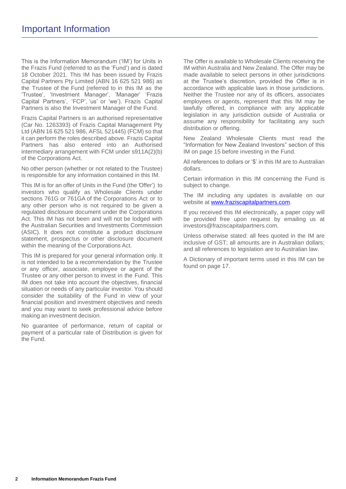This is the Information Memorandum ('IM') for Units in the Frazis Fund (referred to as the 'Fund') and is dated 18 October 2021. This IM has been issued by Frazis Capital Partners Pty Limited (ABN 16 625 521 986) as the Trustee of the Fund (referred to in this IM as the 'Trustee', 'Investment Manager', 'Manager' 'Frazis Capital Partners', 'FCP', 'us' or 'we'). Frazis Capital Partners is also the Investment Manager of the Fund.

Frazis Capital Partners is an authorised representative (Car No. 1263393) of Frazis Capital Management Pty Ltd (ABN 16 625 521 986, AFSL 521445) (FCM) so that it can perform the roles described above. Frazis Capital Partners has also entered into an Authorised intermediary arrangement with FCM under s911A(2)(b) of the Corporations Act.

No other person (whether or not related to the Trustee) is responsible for any information contained in this IM.

This IM is for an offer of Units in the Fund (the 'Offer') to investors who qualify as Wholesale Clients under sections 761G or 761GA of the Corporations Act or to any other person who is not required to be given a regulated disclosure document under the Corporations Act. This IM has not been and will not be lodged with the Australian Securities and Investments Commission (ASIC). It does not constitute a product disclosure statement, prospectus or other disclosure document within the meaning of the Corporations Act.

This IM is prepared for your general information only. It is not intended to be a recommendation by the Trustee or any officer, associate, employee or agent of the Trustee or any other person to invest in the Fund. This IM does not take into account the objectives, financial situation or needs of any particular investor. You should consider the suitability of the Fund in view of your financial position and investment objectives and needs and you may want to seek professional advice before making aninvestment decision.

No guarantee of performance, return of capital or payment of a particular rate of Distribution is given for the Fund.

The Offer is available to Wholesale Clients receiving the IM within Australia and New Zealand. The Offer may be made available to select persons in other jurisdictions at the Trustee's discretion, provided the Offer is in accordance with applicable laws in those jurisdictions. Neither the Trustee nor any of its officers, associates employees or agents, represent that this IM may be lawfully offered, in compliance with any applicable legislation in any jurisdiction outside of Australia or assume any responsibility for facilitating any such distribution or offering.

New Zealand Wholesale Clients must read the "Information for New Zealand Investors" section of this IM on page 15 before investing in the Fund.

All references to dollars or '\$' in this IM are to Australian dollars.

Certain information in this IM concerning the Fund is subject to change.

The IM including any updates is available on our website at [www.fraziscapitalpartners.com.](http://www.fraziscapitalpartners.com/)

If you received this IM electronically, a paper copy will be provided free upon request by emailing us at investors@fraziscapitalpartners.com.

Unless otherwise stated: all fees quoted in the IM are inclusive of GST; all amounts are in Australian dollars; and all references to legislation are to Australian law.

A Dictionary of important terms used in this IM can be found on page 17.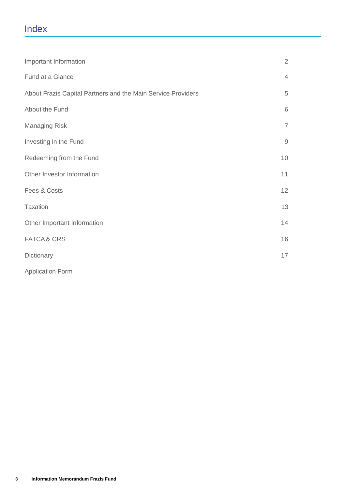# Index

| Important Information                                        | $\overline{2}$ |
|--------------------------------------------------------------|----------------|
| Fund at a Glance                                             | $\overline{4}$ |
| About Frazis Capital Partners and the Main Service Providers | $\,$ 5 $\,$    |
| About the Fund                                               | 6              |
| <b>Managing Risk</b>                                         | $\overline{7}$ |
| Investing in the Fund                                        | $\hbox{9}$     |
| Redeeming from the Fund                                      | 10             |
| Other Investor Information                                   | 11             |
| Fees & Costs                                                 | 12             |
| <b>Taxation</b>                                              | 13             |
| Other Important Information                                  | 14             |
| <b>FATCA &amp; CRS</b>                                       | 16             |
| Dictionary                                                   | 17             |
| <b>Application Form</b>                                      |                |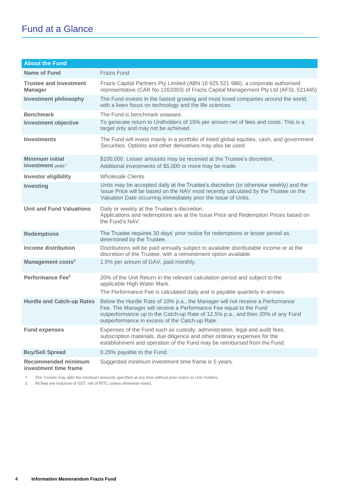# Fund at a Glance

| <b>About the Fund</b>                                   |                                                                                                                                                                                                                                                                                        |
|---------------------------------------------------------|----------------------------------------------------------------------------------------------------------------------------------------------------------------------------------------------------------------------------------------------------------------------------------------|
| Name of Fund                                            | <b>Frazis Fund</b>                                                                                                                                                                                                                                                                     |
| <b>Trustee and Investment</b><br><b>Manager</b>         | Frazis Capital Partners Pty Limited (ABN 16 625 521 986), a corporate authorised<br>representative (CAR No.1263393) of Frazis Capital Management Pty Ltd (AFSL 521445)                                                                                                                 |
| <b>Investment philosophy</b>                            | The Fund invests in the fastest growing and most loved companies around the world,<br>with a keen focus on technology and the life sciences.                                                                                                                                           |
| <b>Benchmark</b><br><b>Investment objective</b>         | The Fund is benchmark unaware.<br>To generate return to Unitholders of 15% per annum net of fees and costs. This is a<br>target only and may not be achieved.                                                                                                                          |
| <b>Investments</b>                                      | The Fund will invest mainly in a portfolio of listed global equities, cash, and government<br>Securities. Options and other derivatives may also be used.                                                                                                                              |
| <b>Minimum initial</b><br>investment (AUD) <sup>1</sup> | \$100,000. Lesser amounts may be received at the Trustee's discretion.<br>Additional investments of \$5,000 or more may be made.                                                                                                                                                       |
| <b>Investor eligibility</b>                             | <b>Wholesale Clients</b>                                                                                                                                                                                                                                                               |
| <b>Investing</b>                                        | Units may be accepted daily at the Trustee's discretion (or otherwise weekly) and the<br>Issue Price will be based on the NAV most recently calculated by the Trustee on the<br>Valuation Date occurring immediately prior the issue of Units.                                         |
| <b>Unit and Fund Valuations</b>                         | Daily or weekly at the Trustee's discretion.<br>Applications and redemptions are at the Issue Price and Redemption Prices based on<br>the Fund's NAV.                                                                                                                                  |
| <b>Redemptions</b>                                      | The Trustee requires 30 days' prior notice for redemptions or lesser period as<br>determined by the Trustee.                                                                                                                                                                           |
| <b>Income distribution</b>                              | Distributions will be paid annually subject to available distributable income or at the<br>discretion of the Trustee, with a reinvestment option available.                                                                                                                            |
| Management costs <sup>2</sup>                           | 1.5% per annum of GAV, paid monthly.                                                                                                                                                                                                                                                   |
| Performance Fee <sup>2</sup>                            | 20% of the Unit Return in the relevant calculation period and subject to the<br>applicable High Water Mark.<br>The Performance Fee is calculated daily and is payable quarterly in arrears.                                                                                            |
| <b>Hurdle and Catch-up Rates</b>                        | Below the Hurdle Rate of 10% p.a., the Manager will not receive a Performance<br>Fee. The Manager will receive a Performance Fee equal to the Fund<br>outperformance up to the Catch-up Rate of 12.5% p.a., and then 20% of any Fund<br>outperformance in excess of the Catch-up Rate. |
| <b>Fund expenses</b>                                    | Expenses of the Fund such as custody, administration, legal and audit fees,<br>subscription materials, due diligence and other ordinary expenses for the<br>establishment and operation of the Fund may be reimbursed from the Fund.                                                   |
| <b>Buy/Sell Spread</b>                                  | 0.25% payable to the Fund.                                                                                                                                                                                                                                                             |
| <b>Recommended minimum</b><br>investment time frame     | Suggested minimum investment time frame is 5 years.                                                                                                                                                                                                                                    |

1. The Trustee may alter the minimum amounts specified at any time without prior notice to Unit Holders.

2. All fees are inclusive of GST, net of RITC unless otherwise noted.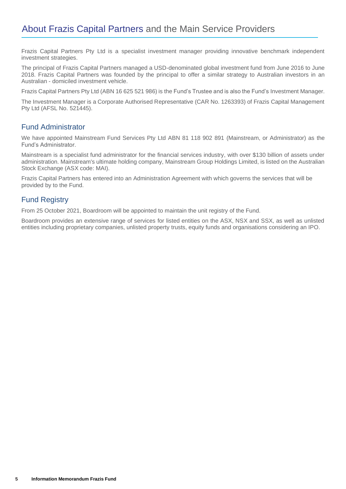Frazis Capital Partners Pty Ltd is a specialist investment manager providing innovative benchmark independent investment strategies.

The principal of Frazis Capital Partners managed a USD-denominated global investment fund from June 2016 to June 2018. Frazis Capital Partners was founded by the principal to offer a similar strategy to Australian investors in an Australian - domiciled investment vehicle.

Frazis Capital Partners Pty Ltd (ABN 16 625 521 986) is the Fund's Trustee and is also the Fund's Investment Manager.

The Investment Manager is a Corporate Authorised Representative (CAR No. 1263393) of Frazis Capital Management Pty Ltd (AFSL No. 521445).

# Fund Administrator

We have appointed Mainstream Fund Services Pty Ltd ABN 81 118 902 891 (Mainstream, or Administrator) as the Fund's Administrator.

Mainstream is a specialist fund administrator for the financial services industry, with over \$130 billion of assets under administration. Mainstream's ultimate holding company, Mainstream Group Holdings Limited, is listed on the Australian Stock Exchange (ASX code: MAI).

Frazis Capital Partners has entered into an Administration Agreement with which governs the services that will be provided by to the Fund.

# Fund Registry

From 25 October 2021, Boardroom will be appointed to maintain the unit registry of the Fund.

Boardroom provides an extensive range of services for listed entities on the ASX, NSX and SSX, as well as unlisted entities including proprietary companies, unlisted property trusts, equity funds and organisations considering an IPO.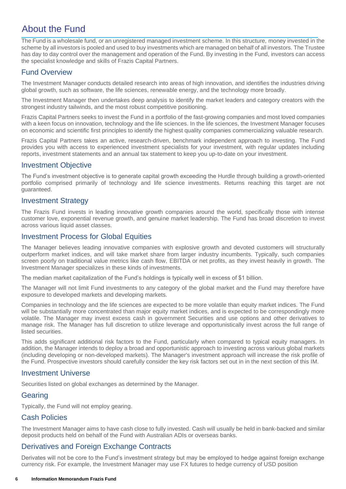# About the Fund

The Fund is a wholesale fund, or an unregistered managed investment scheme. In this structure, money invested in the scheme by all investors is pooled and used to buy investments which are managed on behalf of all investors. The Trustee has day to day control over the management and operation of the Fund. By investing in the Fund, investors can access the specialist knowledge and skills of Frazis Capital Partners.

# Fund Overview

The Investment Manager conducts detailed research into areas of high innovation, and identifies the industries driving global growth, such as software, the life sciences, renewable energy, and the technology more broadly.

The Investment Manager then undertakes deep analysis to identify the market leaders and category creators with the strongest industry tailwinds, and the most robust competitive positioning.

Frazis Capital Partners seeks to invest the Fund in a portfolio of the fast-growing companies and most loved companies with a keen focus on innovation, technology and the life sciences. In the life sciences, the Investment Manager focuses on economic and scientific first principles to identify the highest quality companies commercializing valuable research.

Frazis Capital Partners takes an active, research-driven, benchmark independent approach to investing. The Fund provides you with access to experienced investment specialists for your investment, with regular updates including reports, investment statements and an annual tax statement to keep you up-to-date on your investment.

# Investment Objective

The Fund's investment objective is to generate capital growth exceeding the Hurdle through building a growth-oriented portfolio comprised primarily of technology and life science investments. Returns reaching this target are not guaranteed.

# Investment Strategy

The Frazis Fund invests in leading innovative growth companies around the world, specifically those with intense customer love, exponential revenue growth, and genuine market leadership. The Fund has broad discretion to invest across various liquid asset classes.

# Investment Process for Global Equities

The Manager believes leading innovative companies with explosive growth and devoted customers will structurally outperform market indices, and will take market share from larger industry incumbents. Typically, such companies screen poorly on traditional value metrics like cash flow, EBITDA or net profits, as they invest heavily in growth. The Investment Manager specializes in these kinds of investments.

The median market capitalization of the Fund's holdings is typically well in excess of \$1 billion.

The Manager will not limit Fund investments to any category of the global market and the Fund may therefore have exposure to developed markets and developing markets.

Companies in technology and the life sciences are expected to be more volatile than equity market indices. The Fund will be substantially more concentrated than major equity market indices, and is expected to be correspondingly more volatile. The Manager may invest excess cash in government Securities and use options and other derivatives to manage risk. The Manager has full discretion to utilize leverage and opportunistically invest across the full range of listed securities.

This adds significant additional risk factors to the Fund, particularly when compared to typical equity managers. In addition, the Manager intends to deploy a broad and opportunistic approach to investing across various global markets (including developing or non-developed markets). The Manager's investment approach will increase the risk profile of the Fund. Prospective investors should carefully consider the key risk factors set out in in the next section of this IM.

#### Investment Universe

Securities listed on global exchanges as determined by the Manager.

#### Gearing

Typically, the Fund will not employ gearing.

#### Cash Policies

The Investment Manager aims to have cash close to fully invested. Cash will usually be held in bank-backed and similar deposit products held on behalf of the Fund with Australian ADIs or overseas banks.

# Derivatives and Foreign Exchange Contracts

Derivates will not be core to the Fund's investment strategy but may be employed to hedge against foreign exchange currency risk. For example, the Investment Manager may use FX futures to hedge currency of USD position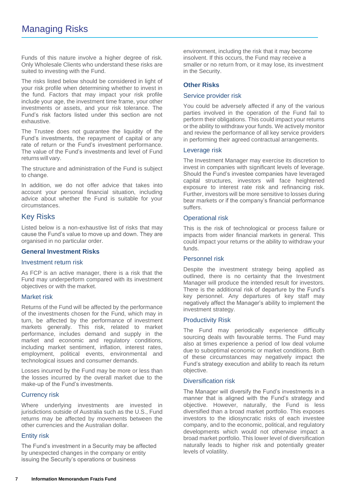Funds of this nature involve a higher degree of risk. Only Wholesale Clients who understand these risks are suited to investing with the Fund.

The risks listed below should be considered in light of your risk profile when determining whether to invest in the fund. Factors that may impact your risk profile include your age, the investment time frame, your other investments or assets, and your risk tolerance. The Fund's risk factors listed under this section are not exhaustive.

The Trustee does not guarantee the liquidity of the Fund's investments, the repayment of capital or any rate of return or the Fund's investment performance. The value of the Fund's investmentsand level of Fund returns will vary.

The structure and administration of the Fund is subject to change.

In addition, we do not offer advice that takes into account your personal financial situation, including advice about whether the Fund is suitable for your circumstances.

# Key Risks

Listed below is a non-exhaustive list of risks that may cause the Fund's value to move up and down. They are organised in no particular order.

#### **General Investment Risks**

#### Investment return risk

As FCP is an active manager, there is a risk that the Fund may underperform compared with its investment objectives or with the market.

#### Market risk

Returns of the Fund will be affected by the performance of the investments chosen for the Fund, which may in turn, be affected by the performance of investment markets generally. This risk, related to market performance, includes demand and supply in the market and economic and regulatory conditions, including market sentiment, inflation, interest rates, employment, political events, environmental and technological issues and consumer demands.

Losses incurred by the Fund may be more or less than the losses incurred by the overall market due to the make-up of the Fund's investments.

#### Currency risk

Where underlying investments are invested in jurisdictions outside of Australia such as the U.S., Fund returns may be affected by movements between the other currencies and the Australian dollar.

#### Entity risk

The Fund's investment in a Security may be affected by unexpected changes in the company or entity issuing the Security's operations or business

environment, including the risk that it may become insolvent. If this occurs, the Fund may receive a smaller or no return from, or it may lose, its investment in the Security.

#### **Other Risks**

#### Service provider risk

You could be adversely affected if any of the various parties involved in the operation of the Fund fail to perform their obligations. This could impact your returns or the ability to withdraw your funds. We actively monitor and review the performance of all key service providers in performing their agreed contractual arrangements.

#### Leverage risk

The Investment Manager may exercise its discretion to invest in companies with significant levels of leverage. Should the Fund's investee companies have leveraged capital structures, investors will face heightened exposure to interest rate risk and refinancing risk. Further, investors will be more sensitive to losses during bear markets or if the company's financial performance suffers.

#### Operational risk

This is the risk of technological or process failure or impacts from wider financial markets in general. This could impact your returns or the ability to withdraw your funds.

#### Personnel risk

Despite the investment strategy being applied as outlined, there is no certainty that the Investment Manager will produce the intended result for investors. There is the additional risk of departure by the Fund's key personnel. Any departures of key staff may negatively affect the Manager's ability to implement the investment strategy.

#### Productivity Risk

The Fund may periodically experience difficulty sourcing deals with favourable terms. The Fund may also at times experience a period of low deal volume due to suboptimal economic or market conditions. Both of these circumstances may negatively impact the Fund's strategy execution and ability to reach its return objective.

#### Diversification risk

The Manager will diversify the Fund's investments in a manner that is aligned with the Fund's strategy and objective. However, naturally, the Fund is less diversified than a broad market portfolio. This exposes investors to the idiosyncratic risks of each investee company, and to the economic, political, and regulatory developments which would not otherwise impact a broad market portfolio. This lower level of diversification naturally leads to higher risk and potentially greater levels of volatility.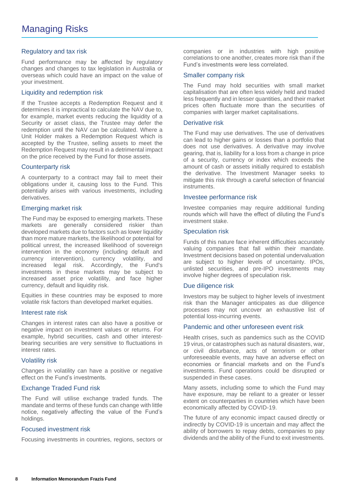#### Regulatory and tax risk

Fund performance may be affected by regulatory changes and changes to tax legislation in Australia or overseas which could have an impact on the value of your investment.

#### Liquidity and redemption risk

If the Trustee accepts a Redemption Request and it determines it is impractical to calculate the NAV due to, for example, market events reducing the liquidity of a Security or asset class, the Trustee may defer the redemption until the NAV can be calculated. Where a Unit Holder makes a Redemption Request which is accepted by the Trustee, selling assets to meet the Redemption Request may result in a detrimental impact on the price received by the Fund for those assets.

#### Counterparty risk

A counterparty to a contract may fail to meet their obligations under it, causing loss to the Fund. This potentially arises with various investments, including derivatives.

#### Emerging market risk

The Fund may be exposed to emerging markets. These markets are generally considered riskier than developed markets due to factors such as lower liquidity than more mature markets, the likelihood or potential for political unrest, the increased likelihood of sovereign intervention in the economy (including default and currency intervention), currency volatility, and increased legal risk. Accordingly, the Fund's investments in these markets may be subject to increased asset price volatility, and face higher currency, default and liquidity risk.

Equities in these countries may be exposed to more volatile risk factors than developed market equities.

#### Interest rate risk

Changes in interest rates can also have a positive or negative impact on investment values or returns. For example, hybrid securities, cash and other interestbearing securities are very sensitive to fluctuations in interest rates.

#### Volatility risk

Changes in volatility can have a positive or negative effect on the Fund's investments.

#### Exchange Traded Fund risk

The Fund will utilise exchange traded funds. The mandate and terms of these funds can change with little notice, negatively affecting the value of the Fund's holdings.

#### Focused investment risk

Focusing investments in countries, regions, sectors or

companies or in industries with high positive correlations to one another, creates more risk than if the Fund's investments were less correlated.

#### Smaller company risk

The Fund may hold securities with small market capitalisation that are often less widely held and traded less frequently and in lesser quantities, and their market prices often fluctuate more than the securities of companies with larger market capitalisations.

#### Derivative risk

The Fund may use derivatives. The use of derivatives can lead to higher gains or losses than a portfolio that does not use derivatives. A derivative may involve gearing, that is, liability for a loss from a change in price of a security, currency or index which exceeds the amount of cash or assets initially required to establish the derivative. The Investment Manager seeks to mitigate this risk through a careful selection of financial instruments.

#### Investee performance risk

Investee companies may require additional funding rounds which will have the effect of diluting the Fund's investment stake.

#### Speculation risk

Funds of this nature face inherent difficulties accurately valuing companies that fall within their mandate. Investment decisions based on potential undervaluation are subject to higher levels of uncertainty. IPOs, unlisted securities, and pre-IPO investments may involve higher degrees of speculation risk.

#### Due diligence risk

Investors may be subject to higher levels of investment risk than the Manager anticipates as due diligence processes may not uncover an exhaustive list of potential loss-incurring events.

#### Pandemic and other unforeseen event risk

Health crises, such as pandemics such as the COVID 19 virus, or catastrophes such as natural disasters, war, or civil disturbance, acts of terrorism or other unforeseeable events, may have an adverse effect on economies or financial markets and on the Fund's investments. Fund operations could be disrupted or suspended in these cases.

Many assets, including some to which the Fund may have exposure, may be reliant to a greater or lesser extent on counterparties in countries which have been economically affected by COVID-19.

The future of any economic impact caused directly or indirectly by COVID-19 is uncertain and may affect the ability of borrowers to repay debts, companies to pay dividends and the ability of the Fund to exit investments.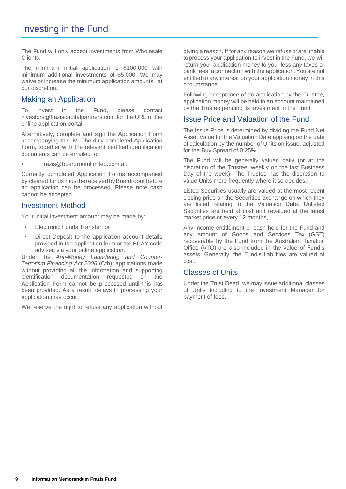The Fund will only accept investments from Wholesale Clients.

The minimum initial application is \$100,000 with minimum additional investments of \$5,000. We may waive or increase the minimum application amounts at our discretion.

# Making an Application

To invest in the Fund, please contact investors@fraziscapitalpartners.com for the URL of the online application portal.

Alternatively, complete and sign the Application Form accompanying this IM. The duly completed Application Form, together with the relevant certified identification documents can be emailed to:

• frazis@boardroomlimited.com.au

Correctly completed Application Forms accompanied by cleared funds must be received by Boardroom before an application can be processed. Please note cash cannot be accepted.

#### Investment Method

Your initial investment amount may be made by:

- Electronic Funds Transfer; or
- Direct Deposit to the application account details provided in the application form or the BPAY code advised via your online application.

Under the *Anti-Money Laundering and Counter-Terrorism Financing Act 2006* (Cth), applications made without providing all the information and supporting identification documentation requested on the Application Form cannot be processed until this has been provided. As a result, delays in processing your application may occur.

We reserve the right to refuse any application without

giving a reason. If for any reason we refuseorareunable toprocess your application to invest in the Fund, we will return your application money to you, less any taxes or bank fees in connection with the application. You are not entitled to any interest on your application money in this circumstance.

Following acceptance of an application by the Trustee, application money will be held in an account maintained by the Trustee pending its investment in the Fund.

#### Issue Price and Valuation of the Fund

The Issue Price is determined by dividing the Fund Net Asset Value for the Valuation Date applying on the date of calculation by the number of Units on issue, adjusted for the Buy Spread of 0.25%.

The Fund will be generally valued daily (or at the discretion of the Trustee, weekly on the last Business Day of the week). The Trustee has the discretion to value Units more frequently where it so decides.

Listed Securities usually are valued at the most recent closing price on the Securities exchange on which they are listed relating to the Valuation Date. Unlisted Securities are held at cost and revalued at the latest market price or every 12 months,

Any income entitlement or cash held for the Fund and any amount of Goods and Services Tax (GST) recoverable by the Fund from the Australian Taxation Office (ATO) are also included in the value of Fund's assets. Generally, the Fund's liabilities are valued at cost.

#### Classes of Units

Under the Trust Deed, we may issue additional classes of Units including to the Investment Manager for payment of fees.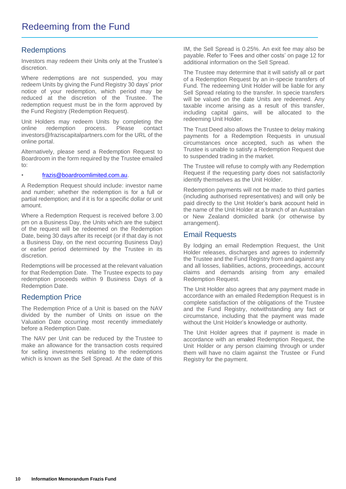# **Redemptions**

Investors may redeem their Units only at the Trustee's discretion.

Where redemptions are not suspended, you may redeem Units by giving the Fund Registry 30 days' prior notice of your redemption, which period may be reduced at the discretion of the Trustee. The redemption request must be in the form approved by the Fund Registry (Redemption Request).

Unit Holders may redeem Units by completing the online redemption process. Please contact investors@fraziscapitalpartners.com for the URL of the online portal.

Alternatively, please send a Redemption Request to Boardroom in the form required by the Trustee emailed to:

#### • [frazis@boardroomlimited.com.au.](mailto:frazis@boardroomlimited.com.au)

A Redemption Request should include: investor name and number; whether the redemption is for a full or partial redemption; and if it is for a specific dollar or unit amount.

Where a Redemption Request is received before 3.00 pm on a Business Day, the Units which are the subject of the request will be redeemed on the Redemption Date, being 30 days after its receipt (or if that day is not a Business Day, on the next occurring Business Day) or earlier period determined by the Trustee in its discretion.

Redemptions will be processed at the relevant valuation for that Redemption Date. The Trustee expects to pay redemption proceeds within 9 Business Days of a Redemption Date.

#### Redemption Price

The Redemption Price of a Unit is based on the NAV divided by the number of Units on issue on the Valuation Date occurring most recently immediately before a Redemption Date.

The NAV per Unit can be reduced by the Trustee to make an allowance for the transaction costs required for selling investments relating to the redemptions which is known as the Sell Spread. At the date of this

IM, the Sell Spread is 0.25%. An exit fee may also be payable. Refer to 'Fees and other costs' on page 12 for additional information on the Sell Spread.

The Trustee may determine that it will satisfy all or part of a Redemption Request by an in-specie transfers of Fund. The redeeming Unit Holder will be liable for any Sell Spread relating to the transfer. In specie transfers will be valued on the date Units are redeemed. Any taxable income arising as a result of this transfer, including capital gains, will be allocated to the redeeming Unit Holder.

The Trust Deed also allows the Trustee to delay making payments for a Redemption Requests in unusual circumstances once accepted, such as when the Trustee is unable to satisfy a Redemption Request due to suspended trading in the market.

The Trustee will refuse to comply with any Redemption Request if the requesting party does not satisfactorily identify themselves as the Unit Holder.

Redemption payments will not be made to third parties (including authorised representatives) and will only be paid directly to the Unit Holder's bank account held in the name of the Unit Holder at a branch of an Australian or New Zealand domiciled bank (or otherwise by arrangement).

#### Email Requests

By lodging an email Redemption Request, the Unit Holder releases, discharges and agrees to indemnify the Trustee and the Fund Registry from and against any and all losses, liabilities, actions, proceedings, account claims and demands arising from any emailed Redemption Request.

The Unit Holder also agrees that any payment made in accordance with an emailed Redemption Request is in complete satisfaction of the obligations of the Trustee and the Fund Registry, notwithstanding any fact or circumstance, including that the payment was made without the Unit Holder's knowledge or authority.

The Unit Holder agrees that if payment is made in accordance with an emailed Redemption Request, the Unit Holder or any person claiming through or under them will have no claim against the Trustee or Fund Registry for the payment.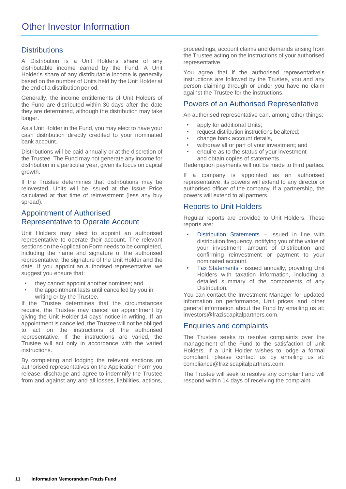# **Distributions**

A Distribution is a Unit Holder's share of any distributable income earned by the Fund. A Unit Holder's share of any distributable income is generally based on the number of Units held by the Unit Holderat the end of a distribution period.

Generally, the income entitlements of Unit Holders of the Fund are distributed within 30 days after the date they are determined, although the distribution may take longer.

As a Unit Holder in the Fund, you may elect to have your cash distribution directly credited to your nominated bank account.

Distributions will be paid annually or at the discretion of the Trustee. The Fund may not generate any income for distribution in a particular year, given its focus on capital growth.

If the Trustee determines that distributions may be reinvested, Units will be issued at the Issue Price calculated at that time of reinvestment (less any buy spread).

# Appointment of Authorised Representative to Operate Account

Unit Holders may elect to appoint an authorised representative to operate their account. The relevant sections on the Application Form needs to be completed, including the name and signature of the authorised representative, the signature of the Unit Holder and the date. If you appoint an authorised representative, we suggest you ensure that:

- they cannot appoint another nominee; and
- the appointment lasts until cancelled by you in writing or by the Trustee.

If the Trustee determines that the circumstances require, the Trustee may cancel an appointment by giving the Unit Holder 14 days' notice in writing. If an appointment is cancelled, the Trustee will not be obliged to act on the instructions of the authorised representative. If the instructions are varied, the Trustee will act only in accordance with the varied instructions.

By completing and lodging the relevant sections on authorised representatives on the Application Form you release, discharge and agree to indemnify the Trustee from and against any and all losses, liabilities, actions, proceedings, account claims and demands arising from the Trustee acting on the instructions of your authorised representative.

You agree that if the authorised representative's instructions are followed by the Trustee, you and any person claiming through or under you have no claim against the Trustee for the instructions.

#### Powers of an Authorised Representative

An authorised representative can, among other things:

- apply for additional Units;
- request distribution instructions be altered;
- change bank account details,
- withdraw all or part of your investment; and
- enquire as to the status of your investment and obtain copies of statements.

Redemption payments will not be made to third parties.

If a company is appointed as an authorised representative, its powers will extend to any director or authorised officer of the company. If a partnership, the powers will extend to all partners.

#### Reports to Unit Holders

Regular reports are provided to Unit Holders. These reports are:

- Distribution Statements issued in line with distribution frequency, notifying you of the value of your investment, amount of Distribution and confirming reinvestment or payment to your nominated account.
- Tax Statements issued annually, providing Unit Holders with taxation information, including a detailed summary of the components of any Distribution.

You can contact the Investment Manager for updated information on performance, Unit prices and other general information about the Fund by emailing us at: investors@fraziscapitalpartners.com.

#### Enquiries and complaints

The Trustee seeks to resolve complaints over the management of the Fund to the satisfaction of Unit Holders. If a Unit Holder wishes to lodge a formal complaint, please contact us by emailing us at: compliance@fraziscapitalpartners.com.

The Trustee will seek to resolve any complaint and will respond within 14 days of receiving the complaint.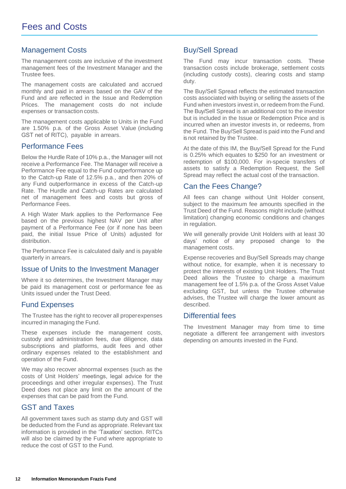# Management Costs

The management costs are inclusive of the investment management fees of the Investment Manager and the Trustee fees.

The management costs are calculated and accrued monthly and paid in arrears based on the GAV of the Fund and are reflected in the Issue and Redemption Prices. The management costs do not include expenses or transaction costs.

The management costs applicable to Units in the Fund are 1.50% p.a. of the Gross Asset Value (including GST net of RITC), payable in arrears.

#### Performance Fees

Below the Hurdle Rate of 10% p.a., the Manager will not receive a Performance Fee. The Manager will receive a Performance Fee equal to the Fund outperformance up to the Catch-up Rate of 12.5% p.a., and then 20% of any Fund outperformance in excess of the Catch-up Rate. The Hurdle and Catch-up Rates are calculated net of management fees and costs but gross of Performance Fees.

A High Water Mark applies to the Performance Fee based on the previous highest NAV per Unit after payment of a Performance Fee (or if none has been paid, the initial Issue Price of Units) adjusted for distribution.

The Performance Fee is calculated daily and is payable quarterly in arrears.

#### Issue of Units to the Investment Manager

Where it so determines, the Investment Manager may be paid its management cost or performance fee as Units issued under the Trust Deed.

#### Fund Expenses

The Trustee has the right to recover all proper expenses incurred in managing the Fund.

These expenses include the management costs, custody and administration fees, due diligence, data subscriptions and platforms, audit fees and other ordinary expenses related to the establishment and operation of the Fund.

We may also recover abnormal expenses (such as the costs of Unit Holders' meetings, legal advice for the proceedings and other irregular expenses). The Trust Deed does not place any limit on the amount of the expenses that can be paid from the Fund.

#### GST and Taxes

All government taxes such as stamp duty and GST will be deducted from the Fund as appropriate. Relevant tax information is provided in the 'Taxation' section. RITCs will also be claimed by the Fund where appropriate to reduce the cost of GST to the Fund.

# Buy/Sell Spread

The Fund may incur transaction costs. These transaction costs include brokerage, settlement costs (including custody costs), clearing costs and stamp duty.

The Buy/Sell Spread reflects the estimated transaction costs associated with buying or selling the assets of the Fund when investors invest in, or redeem from the Fund. The Buy/Sell Spread is an additional cost to the investor but is included in the Issue or Redemption Price and is incurred when an investor invests in, or redeems, from the Fund. The Buy/Sell Spread is paid into the Fund and is not retained by the Trustee.

At the date of this IM, the Buy/Sell Spread for the Fund is 0.25% which equates to \$250 for an investment or redemption of \$100,000. For in-specie transfers of assets to satisfy a Redemption Request, the Sell Spread may reflect the actual cost of the transaction.

# Can the Fees Change?

All fees can change without Unit Holder consent, subject to the maximum fee amounts specified in the Trust Deed of the Fund. Reasons might include (without limitation) changing economic conditions and changes in regulation.

We will generally provide Unit Holders with at least 30 days' notice of any proposed change to the management costs.

Expense recoveries and Buy/Sell Spreads may change without notice, for example, when it is necessary to protect the interests of existing Unit Holders. The Trust Deed allows the Trustee to charge a maximum management fee of 1.5% p.a. of the Gross Asset Value excluding GST, but unless the Trustee otherwise advises, the Trustee will charge the lower amount as described.

#### Differential fees

The Investment Manager may from time to time negotiate a different fee arrangement with investors depending on amounts invested in the Fund.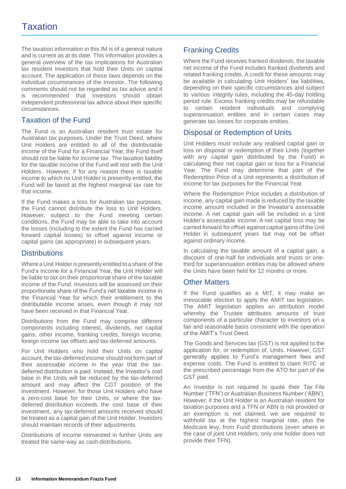The taxation information in this IM is of a general nature and is current as at its date. This information provides a general overview of the tax implications for Australian tax resident Investors that hold their Units on capital account. The application of these laws depends on the individual circumstances of the Investor. The following comments should not be regarded as tax advice and it is recommended that Investors should obtain independent professional tax advice about their specific circumstances.

# Taxation of the Fund

The Fund is an Australian resident trust estate for Australian tax purposes. Under the Trust Deed, where Unit Holders are entitled to all of the distributable income of the Fund for a Financial Year, the Fund itself should not be liable for income tax. The taxation liability for the taxable income of the Fund will rest with the Unit Holders. However, if for any reason there is taxable income to which no Unit Holder is presently entitled, the Fund will be taxed at the highest marginal tax rate for that income.

If the Fund makes a loss for Australian tax purposes, the Fund cannot distribute the loss to Unit Holders. However, subject to the Fund meeting certain conditions, the Fund may be able to take into account the losses (including to the extent the Fund has carried forward capital losses) to offset against income or capital gains (as appropriate) in subsequent years.

#### **Distributions**

Where a Unit Holder is presently entitled to a share of the Fund's income for a Financial Year, the Unit Holder will be liable to tax on their proportional share of the taxable income of the Fund. Investors will be assessed on their proportionate share of the Fund's net taxable income in the Financial Year for which their entitlement to the distributable income arises, even though it may not have been received in that Financial Year.

Distributions from the Fund may comprise different components including interest, dividends, net capital gains, other income, franking credits, foreign income, foreign income tax offsets and tax-deferred amounts.

For Unit Holders who hold their Units on capital account, the tax-deferred income should not form part of their assessable income in the year that the taxdeferred distribution is paid. Instead, the Investor's cost base in the Units will be reduced by the tax-deferred amount and may affect the CGT position of the investment. However, for those Unit Holders who have a zero-cost base for their Units, or where the taxdeferred distribution exceeds the cost base of their investment, any tax-deferred amounts received should be treated as a capital gain of the Unit Holder. Investors should maintain records of their adjustments.

Distributions of income reinvested in further Units are treated the same way as cash distributions.

# Franking Credits

Where the Fund receives franked dividends, the taxable net income of the Fund includes franked dividends and related franking credits. A credit for these amounts may be available in calculating Unit Holders' tax liabilities, depending on their specific circumstances and subject to various integrity rules, including the 45-day holding period rule. Excess franking credits may be refundable to certain resident individuals and complying superannuation entities and in certain cases may generate tax losses for corporate entities.

# Disposal or Redemption of Units

Unit Holders must include any realised capital gain or loss on disposal or redemption of their Units (together with any capital gain distributed by the Fund) in calculating their net capital gain or loss for a Financial Year. The Fund may determine that part of the Redemption Price of a Unit represents a distribution of income for tax purposes for the Financial Year.

Where the Redemption Price includes a distribution of income, any capital gain made is reduced by the taxable income amount included in the Investor's assessable income. A net capital gain will be included in a Unit Holder's assessable income. A net capital loss may be carried forward for offset against capital gains of the Unit Holder in subsequent years but may not be offset against ordinary income.

In calculating the taxable amount of a capital gain, a discount of one-half for individuals and trusts or onethird for superannuation entities may be allowed where the Units have been held for 12 months or more.

# Other Matters

If the Fund qualifies as a MIT, it may make an irrevocable election to apply the AMIT tax legislation. The AMIT legislation applies an attribution model whereby the Trustee attributes amounts of trust components of a particular character to investors on a fair and reasonable basis consistent with the operation of the AMIT's Trust Deed.

The Goods and Services tax (GST) is not applied to the application for, or redemption of, Units. However, GST generally applies to Fund's management fees and expense costs. The Fund is entitled to claim RITC at the prescribed percentage from the ATO for part of the GST paid.

An Investor is not required to quote their Tax File Number ('TFN') or Australian Business Number ('ABN'). However, if the Unit Holder is an Australian resident for taxation purposes and a TFN or ABN is not provided or an exemption is not claimed, we are required to withhold tax at the highest marginal rate, plus the Medicare levy, from Fund distributions (even where in the case of joint Unit Holders, only one holder does not provide their TFN).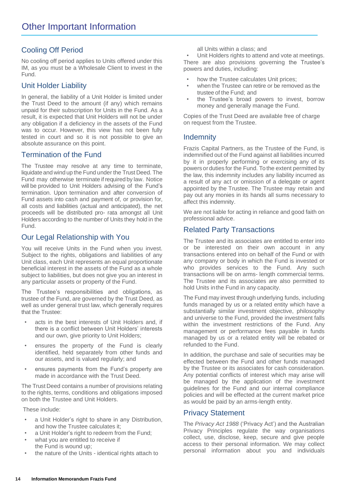# Cooling Off Period

No cooling off period applies to Units offered under this IM, as you must be a Wholesale Client to invest in the Fund.

# Unit Holder Liability

In general, the liability of a Unit Holder is limited under the Trust Deed to the amount (if any) which remains unpaid for their subscription for Units in the Fund. As a result, it is expected that Unit Holders will not be under any obligation if a deficiency in the assets of the Fund was to occur. However, this view has not been fully tested in court and so it is not possible to give an absolute assurance on this point.

# Termination of the Fund

The Trustee may resolve at any time to terminate, liquidate and wind up the Fund under the Trust Deed. The Fund may otherwise terminate if required by law. Notice will be provided to Unit Holders advising of the Fund's termination. Upon termination and after conversion of Fund assets into cash and payment of, or provision for, all costs and liabilities (actual and anticipated), the net proceeds will be distributed pro- rata amongst all Unit Holders according to the number of Units they hold in the Fund.

# Our Legal Relationship with You

You will receive Units in the Fund when you invest. Subject to the rights, obligations and liabilities of any Unit class, each Unit represents an equal proportionate beneficial interest in the assets of the Fund as a whole subject to liabilities, but does not give you an interest in any particular assets or property of the Fund.

The Trustee's responsibilities and obligations, as trustee of the Fund, are governed by the Trust Deed, as well as under general trust law, which generally requires that the Trustee:

- acts in the best interests of Unit Holders and, if there is a conflict between Unit Holders' interests and our own, give priority to Unit Holders;
- ensures the property of the Fund is clearly identified, held separately from other funds and our assets, and is valued regularly; and
- ensures payments from the Fund's property are made in accordance with the Trust Deed.

The Trust Deed contains a number of provisions relating to the rights, terms, conditions and obligations imposed on both the Trustee and Unit Holders.

These include:

- a Unit Holder's right to share in any Distribution, and how the Trustee calculates it;
- a Unit Holder's right to redeem from the Fund:
- what you are entitled to receive if the Fund is wound up;
- the nature of the Units identical rights attach to

all Units within a class; and

Unit Holders rights to attend and vote at meetings. There are also provisions governing the Trustee's powers and duties, including:

- how the Trustee calculates Unit prices;
- when the Trustee can retire or be removed as the trustee of the Fund; and
- the Trustee's broad powers to invest, borrow money and generally manage the Fund.

Copies of the Trust Deed are available free of charge on request from the Trustee.

# **Indemnity**

Frazis Capital Partners, as the Trustee of the Fund, is indemnified out of the Fund against all liabilities incurred by it in properly performing or exercising any of its powers or duties for the Fund. To the extent permitted by the law, this indemnity includes any liability incurred as a result of any act or omission of a delegate or agent appointed by the Trustee. The Trustee may retain and pay out any monies in its hands all sums necessary to affect this indemnity.

We are not liable for acting in reliance and good faith on professional advice.

# Related Party Transactions

The Trustee and its associates are entitled to enter into or be interested on their own account in any transactions entered into on behalf of the Fund or with any company or body in which the Fund is invested or who provides services to the Fund. Any such transactions will be on arms- length commercial terms. The Trustee and its associates are also permitted to hold Units inthe Fund in any capacity.

The Fund may invest through underlying funds, including funds managed by us or a related entity which have a substantially similar investment objective, philosophy and universe to the Fund, provided the investment falls within the investment restrictions of the Fund. Any management or performance fees payable in funds managed by us or a related entity will be rebated or refunded to the Fund.

In addition, the purchase and sale of securities may be effected between the Fund and other funds managed by the Trustee or its associates for cash consideration. Any potential conflicts of interest which may arise will be managed by the application of the investment guidelines for the Fund and our internal compliance policies and will be effected at the current market price as would be paid by an arms-length entity.

#### Privacy Statement

The *Privacy Act 1988* ('Privacy Act') and the Australian Privacy Principles regulate the way organisations collect, use, disclose, keep, secure and give people access to their personal information. We may collect personal information about you and individuals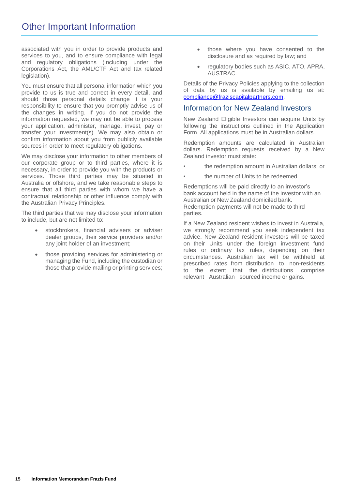associated with you in order to provide products and services to you, and to ensure compliance with legal and regulatory obligations (including under the Corporations Act, the AML/CTF Act and tax related legislation).

You must ensure that all personal information which you provide to us is true and correct in every detail, and should those personal details change it is your responsibility to ensure that you promptly advise us of the changes in writing. If you do not provide the information requested, we may not be able to process your application, administer, manage, invest, pay or transfer your investment(s). We may also obtain or confirm information about you from publicly available sources in order to meet regulatory obligations.

We may disclose your information to other members of our corporate group or to third parties, where it is necessary, in order to provide you with the products or services. Those third parties may be situated in Australia or offshore, and we take reasonable steps to ensure that all third parties with whom we have a contractual relationship or other influence comply with the Australian Privacy Principles.

The third parties that we may disclose your information to include, but are not limited to:

- stockbrokers, financial advisers or adviser dealer groups, their service providers and/or any joint holder of an investment;
- those providing services for administering or managing the Fund, including the custodian or those that provide mailing or printing services;
- those where you have consented to the disclosure and as required by law; and
- regulatory bodies such as ASIC, ATO, APRA, AUSTRAC.

Details of the Privacy Policies applying to the collection of data by us is available by emailing us at: [compliance@fraziscapitalpartners.com.](mailto:compliance@fraziscapitalpartners.com)

#### Information for New Zealand Investors

New Zealand Eligible Investors can acquire Units by following the instructions outlined in the Application Form. All applications must be in Australian dollars.

Redemption amounts are calculated in Australian dollars. Redemption requests received by a New Zealand investor must state:

- the redemption amount in Australian dollars; or
- the number of Units to be redeemed.

Redemptions will be paid directly to an investor's bank account held in the name of the investor with an Australian or New Zealand domiciled bank. Redemption payments will not be made to third parties.

If a New Zealand resident wishes to invest in Australia, we strongly recommend you seek independent tax advice. New Zealand resident investors will be taxed on their Units under the foreign investment fund rules or ordinary tax rules, depending on their circumstances. Australian tax will be withheld at prescribed rates from distribution to non-residents to the extent that the distributions comprise relevant Australian sourced income or gains.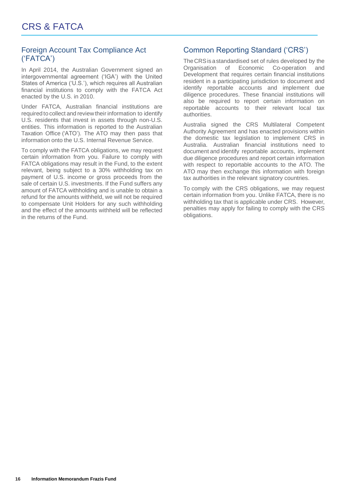# Foreign Account Tax Compliance Act ('FATCA')

In April 2014, the Australian Government signed an intergovernmental agreement ('IGA') with the United States of America ('U.S.'), which requires all Australian financial institutions to comply with the FATCA Act enacted by the U.S. in 2010.

Under FATCA, Australian financial institutions are required to collect and review their information to identify U.S. residents that invest in assets through non-U.S. entities. This information is reported to the Australian Taxation Office ('ATO'). The ATO may then pass that information onto the U.S. Internal Revenue Service.

To comply with the FATCA obligations, we may request certain information from you. Failure to comply with FATCA obligations may result in the Fund, to the extent relevant, being subject to a 30% withholding tax on payment of U.S. income or gross proceeds from the sale of certain U.S. investments. If the Fund suffers any amount of FATCA withholding and is unable to obtain a refund for the amounts withheld, we will not be required to compensate Unit Holders for any such withholding and the effect of the amounts withheld will be reflected in the returns of the Fund.

# Common Reporting Standard ('CRS')

TheCRSisastandardised set of rules developed by the Organisation of Economic Co-operation and Development that requires certain financial institutions resident in a participating jurisdiction to document and identify reportable accounts and implement due diligence procedures. These financial institutions will also be required to report certain information on reportable accounts to their relevant local tax authorities.

Australia signed the CRS Multilateral Competent Authority Agreement and has enacted provisions within the domestic tax legislation to implement CRS in Australia. Australian financial institutions need to documentandidentify reportable accounts, implement due diligence procedures and report certain information with respect to reportable accounts to the ATO. The ATO may then exchange this information with foreign tax authorities in the relevant signatory countries.

To comply with the CRS obligations, we may request certain information from you. Unlike FATCA, there is no withholding tax that is applicable under CRS. However, penalties may apply for failing to comply with the CRS obligations.